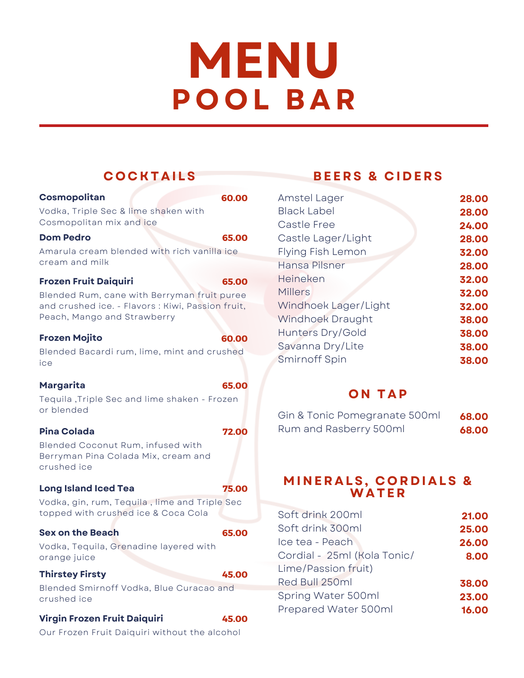# **MENU P O O L B A R**

| <b>COCKTAILS</b>                                           |       |           |
|------------------------------------------------------------|-------|-----------|
| Cosmopolitan                                               | 60.00 | А         |
| Vodka, Triple Sec & lime shaken with                       |       | B         |
| Cosmopolitan mix and ice                                   |       | C         |
| <b>Dom Pedro</b>                                           | 65.00 | C         |
| Amarula cream blended with rich vanilla ice                |       | F         |
| cream and milk                                             |       | Н         |
| <b>Frozen Fruit Daiquiri</b>                               | 65.00 | Н         |
| Blended Rum, cane with Berryman fruit puree                |       | Ν         |
| and crushed ice. - Flavors: Kiwi, Passion fruit,           |       | V         |
| Peach, Mango and Strawberry                                |       | V         |
| <b>Frozen Mojito</b>                                       | 60.00 | Н         |
| Blended Bacardi rum, lime, mint and crushed                |       | S         |
| ice                                                        |       | S         |
|                                                            |       |           |
| <b>Margarita</b>                                           | 65.00 |           |
| Tequila, Triple Sec and lime shaken - Frozen<br>or blended |       |           |
|                                                            |       | G         |
| <b>Pina Colada</b>                                         | 72.00 | R         |
| Blended Coconut Rum, infused with                          |       |           |
| Berryman Pina Colada Mix, cream and<br>crushed ice         |       |           |
|                                                            |       |           |
| <b>Long Island Iced Tea</b>                                | 75.00 |           |
| Vodka, gin, rum, Tequila, lime and Triple Sec              |       |           |
| topped with crushed ice & Coca Cola                        |       | S         |
| <b>Sex on the Beach</b>                                    | 65.00 | S         |
| Vodka, Tequila, Grenadine layered with                     |       | lc        |
| orange juice                                               |       | $\subset$ |
| <b>Thirstey Firsty</b>                                     | 45.00 | L         |
| Blended Smirnoff Vodka, Blue Curacao and                   |       | R         |
| crushed ice                                                |       | S         |
| Virgin Frozen Fruit Daiquiri                               | 45.00 | Ρ         |
| Our Frozen Fruit Daiquiri without the alcohol              |       |           |

### **BE E R S & C I D E R S**

| Amstel Lager         | 28.00 |
|----------------------|-------|
| <b>Black Label</b>   | 28.00 |
| Castle Free          | 24.00 |
| Castle Lager/Light   | 28.00 |
| Flying Fish Lemon    | 32.00 |
| Hansa Pilsner        | 28.00 |
| Heineken             | 32.00 |
| <b>Millers</b>       | 32.00 |
| Windhoek Lager/Light | 32.00 |
| Windhoek Draught     | 38.00 |
| Hunters Dry/Gold     | 38.00 |
| Savanna Dry/Lite     | 38.00 |
| Smirnoff Spin        | 38.00 |

#### **O N T A P**

| Gin & Tonic Pomegranate 500ml | 68.00 |
|-------------------------------|-------|
| Rum and Rasberry 500ml        | 68.00 |

#### **M I N E R A LS, C O R D I A LS & WA TE R**

| Soft drink 200ml            | 21.00 |
|-----------------------------|-------|
| Soft drink 300ml            | 25.00 |
| Ice tea - Peach             | 26.00 |
| Cordial - 25ml (Kola Tonic/ | 8.00  |
| Lime/Passion fruit)         |       |
| Red Bull 250ml              | 38.00 |
| Spring Water 500ml          | 23.00 |
| Prepared Water 500ml        | 16.00 |